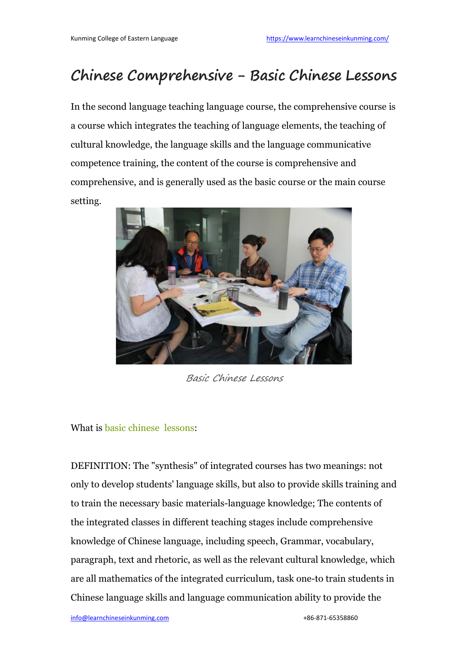## **Chinese Comprehensive - Basic Chinese Lessons**

In the second language teaching language course, the comprehensive course is a course which integrates the teaching of language elements, the teaching of cultural knowledge, the language skills and the language communicative competence training, the content of the course iscomprehensive and comprehensive, and is generally used as the basic course or the main course setting.



Basic Chinese Lessons

What is basic [chinese](https://www.learnchineseinkunming.com/chinese-comprehensive-course.html) lessons:

DEFINITION: The "synthesis" of integrated courses has two meanings: not only to develop students' language skills, but also to provide skills training and to train the necessary basic materials-language knowledge; The contents of the integrated classes in different teaching stages include comprehensive knowledge of Chinese language, including speech, Grammar, vocabulary, paragraph, text and rhetoric, as well as the relevant cultural knowledge, which are all mathematics of the integrated curriculum, task one-to train students in Chinese language skills and language communication ability to provide the